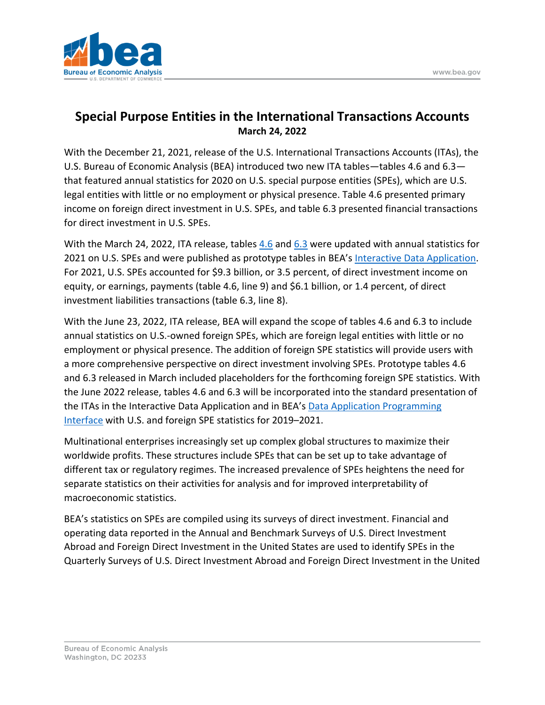

## **Special Purpose Entities in the International Transactions Accounts March 24, 2022**

With the December 21, 2021, release of the U.S. International Transactions Accounts (ITAs), the U.S. Bureau of Economic Analysis (BEA) introduced two new ITA tables—tables 4.6 and 6.3 that featured annual statistics for 2020 on U.S. special purpose entities (SPEs), which are U.S. legal entities with little or no employment or physical presence. Table 4.6 presented primary income on foreign direct investment in U.S. SPEs, and table 6.3 presented financial transactions for direct investment in U.S. SPEs.

With the March 24, 2022, ITA release, tables [4.6](https://apps.bea.gov/iTable/iTable.cfm?reqid=62&step=6&isuri=1&tablelist=31005&product=1) and [6.3](https://apps.bea.gov/iTable/iTable.cfm?reqid=62&step=6&isuri=1&tablelist=31007&product=1) were updated with annual statistics for 2021 on U.S. SPEs and were published as prototype tables in BEA's [Interactive Data Application.](https://apps.bea.gov/iTable/index_ita.cfm) For 2021, U.S. SPEs accounted for \$9.3 billion, or 3.5 percent, of direct investment income on equity, or earnings, payments (table 4.6, line 9) and \$6.1 billion, or 1.4 percent, of direct investment liabilities transactions (table 6.3, line 8).

With the June 23, 2022, ITA release, BEA will expand the scope of tables 4.6 and 6.3 to include annual statistics on U.S.-owned foreign SPEs, which are foreign legal entities with little or no employment or physical presence. The addition of foreign SPE statistics will provide users with a more comprehensive perspective on direct investment involving SPEs. Prototype tables 4.6 and 6.3 released in March included placeholders for the forthcoming foreign SPE statistics. With the June 2022 release, tables 4.6 and 6.3 will be incorporated into the standard presentation of the ITAs in the Interactive Data Application and in BEA's [Data Application Programming](https://apps.bea.gov/API/signup/index.cfm)  [Interface](https://apps.bea.gov/API/signup/index.cfm) with U.S. and foreign SPE statistics for 2019–2021.

Multinational enterprises increasingly set up complex global structures to maximize their worldwide profits. These structures include SPEs that can be set up to take advantage of different tax or regulatory regimes. The increased prevalence of SPEs heightens the need for separate statistics on their activities for analysis and for improved interpretability of macroeconomic statistics.

BEA's statistics on SPEs are compiled using its surveys of direct investment. Financial and operating data reported in the Annual and Benchmark Surveys of U.S. Direct Investment Abroad and Foreign Direct Investment in the United States are used to identify SPEs in the Quarterly Surveys of U.S. Direct Investment Abroad and Foreign Direct Investment in the United